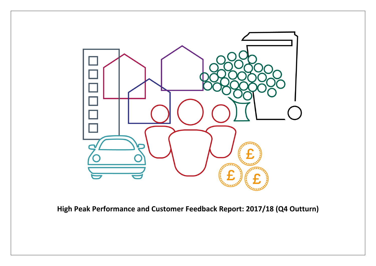

**High Peak Performance and Customer Feedback Report: 2017/18 (Q4 Outturn)**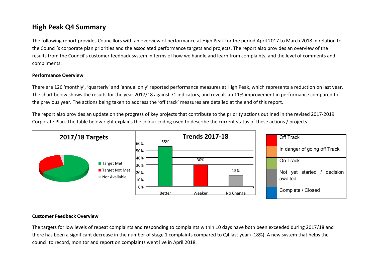# **High Peak Q4 Summary**

The following report provides Councillors with an overview of performance at High Peak for the period April 2017 to March 2018 in relation to the Council's corporate plan priorities and the associated performance targets and projects. The report also provides an overview of the results from the Council's customer feedback system in terms of how we handle and learn from complaints, and the level of comments and compliments.

#### **Performance Overview**

There are 126 'monthly', 'quarterly' and 'annual only' reported performance measures at High Peak, which represents a reduction on last year. The chart below shows the results for the year 2017/18 against 71 indicators, and reveals an 11% improvement in performance compared to the previous year. The actions being taken to address the 'off track' measures are detailed at the end of this report.

The report also provides an update on the progress of key projects that contribute to the priority actions outlined in the revised 2017-2019 Corporate Plan. The table below right explains the colour coding used to describe the current status of these actions / projects.



#### **Customer Feedback Overview**

The targets for low levels of repeat complaints and responding to complaints within 10 days have both been exceeded during 2017/18 and there has been a significant decrease in the number of stage 1 complaints compared to Q4 last year (-18%). A new system that helps the council to record, monitor and report on complaints went live in April 2018.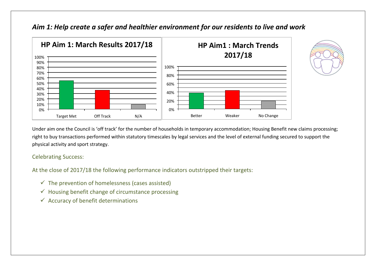

# *Aim 1: Help create a safer and healthier environment for our residents to live and work*

Under aim one the Council is 'off track' for the number of households in temporary accommodation; Housing Benefit new claims processing; right to buy transactions performed within statutory timescales by legal services and the level of external funding secured to support the physical activity and sport strategy.

#### Celebrating Success:

At the close of 2017/18 the following performance indicators outstripped their targets:

- $\checkmark$  The prevention of homelessness (cases assisted)
- $\checkmark$  Housing benefit change of circumstance processing
- $\checkmark$  Accuracy of benefit determinations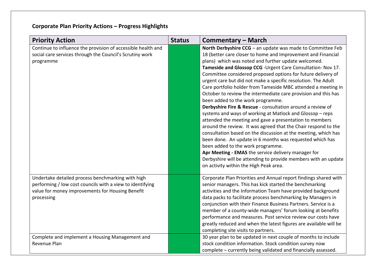# **Corporate Plan Priority Actions – Progress Highlights**

| <b>Priority Action</b>                                                                                                                                                           | <b>Status</b> | <b>Commentary – March</b>                                                                                                                                                                                                                                                                                                                                                                                                                                                                                                                                                                                                                                                                                                                                                                                                                                                                                                                                                                                                                                                                                                                                |
|----------------------------------------------------------------------------------------------------------------------------------------------------------------------------------|---------------|----------------------------------------------------------------------------------------------------------------------------------------------------------------------------------------------------------------------------------------------------------------------------------------------------------------------------------------------------------------------------------------------------------------------------------------------------------------------------------------------------------------------------------------------------------------------------------------------------------------------------------------------------------------------------------------------------------------------------------------------------------------------------------------------------------------------------------------------------------------------------------------------------------------------------------------------------------------------------------------------------------------------------------------------------------------------------------------------------------------------------------------------------------|
| Continue to influence the provision of accessible health and<br>social care services through the Council's Scrutiny work<br>programme                                            |               | North Derbyshire CCG - an update was made to Committee Feb<br>18 (better care closer to home and Improvement and Financial<br>plans) which was noted and further update welcomed.<br>Tameside and Glossop CCG - Urgent Care Consultation- Nov 17.<br>Committee considered proposed options for future delivery of<br>urgent care but did not make a specific resolution. The Adult<br>Care portfolio holder from Tameside MBC attended a meeting in<br>October to review the intermediate care provision and this has<br>been added to the work programme.<br>Derbyshire Fire & Rescue - consultation around a review of<br>systems and ways of working at Matlock and Glossop - reps<br>attended the meeting and gave a presentation to members<br>around the review. It was agreed that the Chair respond to the<br>consultation based on the discussion at the meeting, which has<br>been done. An update in 6 months was requested which has<br>been added to the work programme.<br>Apr Meeting - EMAS the service delivery manager for<br>Derbyshire will be attending to provide members with an update<br>on activity within the High Peak area. |
| Undertake detailed process benchmarking with high<br>performing / low cost councils with a view to identifying<br>value for money improvements for Housing Benefit<br>processing |               | Corporate Plan Priorities and Annual report findings shared with<br>senior managers. This has kick started the benchmarking<br>activities and the Information Team have provided background<br>data packs to facilitate process benchmarking by Managers in<br>conjunction with their Finance Business Partners. Service is a<br>member of a county-wide managers' forum looking at benefits<br>performance and measures. Post service review our costs have<br>greatly reduced and when the latest figures are available will be<br>completing site visits to partners.                                                                                                                                                                                                                                                                                                                                                                                                                                                                                                                                                                                 |
| Complete and implement a Housing Management and<br>Revenue Plan                                                                                                                  |               | 30 year plan to be updated in next couple of months to include<br>stock condition information. Stock condition survey now<br>complete - currently being validated and financially assessed.                                                                                                                                                                                                                                                                                                                                                                                                                                                                                                                                                                                                                                                                                                                                                                                                                                                                                                                                                              |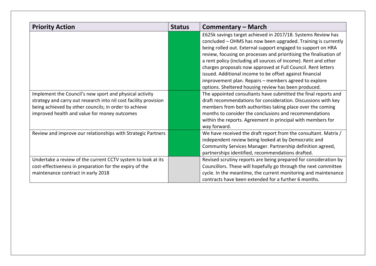| <b>Priority Action</b>                                                                                                                                                                                                               | <b>Status</b> | Commentary – March                                                                                                                                                                                                                                                                                                                                                                                                                                                                                                                                                                  |
|--------------------------------------------------------------------------------------------------------------------------------------------------------------------------------------------------------------------------------------|---------------|-------------------------------------------------------------------------------------------------------------------------------------------------------------------------------------------------------------------------------------------------------------------------------------------------------------------------------------------------------------------------------------------------------------------------------------------------------------------------------------------------------------------------------------------------------------------------------------|
|                                                                                                                                                                                                                                      |               | £625k savings target achieved in 2017/18. Systems Review has<br>concluded - OHMS has now been upgraded. Training is currently<br>being rolled out. External support engaged to support on HRA<br>review, focusing on processes and prioritising the finalisation of<br>a rent policy (including all sources of income). Rent and other<br>charges proposals now approved at Full Council. Rent letters<br>issued. Additional income to be offset against financial<br>improvement plan. Repairs - members agreed to explore<br>options. Sheltered housing review has been produced. |
| Implement the Council's new sport and physical activity<br>strategy and carry out research into nil cost facility provision<br>being achieved by other councils; in order to achieve<br>improved health and value for money outcomes |               | The appointed consultants have submitted the final reports and<br>draft recommendations for consideration. Discussions with key<br>members from both authorities taking place over the coming<br>months to consider the conclusions and recommendations<br>within the reports. Agreement in principal with members for<br>way forward.                                                                                                                                                                                                                                              |
| Review and improve our relationships with Strategic Partners                                                                                                                                                                         |               | We have received the draft report from the consultant. Matrix /<br>independent review being looked at by Democratic and<br>Community Services Manager. Partnership definition agreed,<br>partnerships identified, recommendations drafted.                                                                                                                                                                                                                                                                                                                                          |
| Undertake a review of the current CCTV system to look at its<br>cost-effectiveness in preparation for the expiry of the<br>maintenance contract in early 2018                                                                        |               | Revised scrutiny reports are being prepared for consideration by<br>Councillors. These will hopefully go through the next committee<br>cycle. In the meantime, the current monitoring and maintenance<br>contracts have been extended for a further 6 months.                                                                                                                                                                                                                                                                                                                       |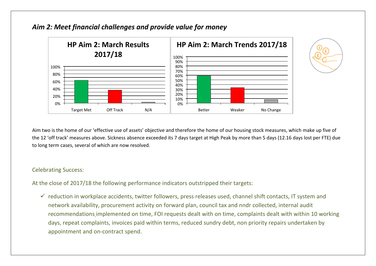

### *Aim 2: Meet financial challenges and provide value for money*



Aim two is the home of our 'effective use of assets' objective and therefore the home of our housing stock measures, which make up five of the 12 'off track' measures above. Sickness absence exceeded its 7 days target at High Peak by more than 5 days (12.16 days lost per FTE) due to long term cases, several of which are now resolved.

#### Celebrating Success:

At the close of 2017/18 the following performance indicators outstripped their targets:

 $\checkmark$  reduction in workplace accidents, twitter followers, press releases used, channel shift contacts, IT system and network availability, procurement activity on forward plan, council tax and nndr collected, internal audit recommendations implemented on time, FOI requests dealt with on time, complaints dealt with within 10 working days, repeat complaints, invoices paid within terms, reduced sundry debt, non priority repairs undertaken by appointment and on-contract spend.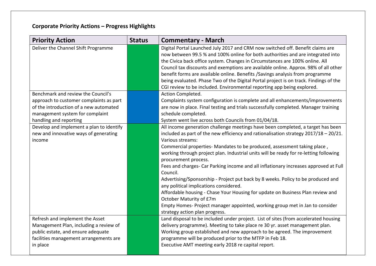# **Corporate Priority Actions – Progress Highlights**

| <b>Priority Action</b>                   | <b>Status</b> | <b>Commentary - March</b>                                                                                     |
|------------------------------------------|---------------|---------------------------------------------------------------------------------------------------------------|
| Deliver the Channel Shift Programme      |               | Digital Portal Launched July 2017 and CRM now switched off. Benefit claims are                                |
|                                          |               | now between 99.5 % and 100% online for both authorities and are integrated into                               |
|                                          |               | the Civica back office system. Changes in Circumstances are 100% online. All                                  |
|                                          |               | Council tax discounts and exemptions are available online. Approx. 98% of all other                           |
|                                          |               | benefit forms are available online. Benefits / Savings analysis from programme                                |
|                                          |               | being evaluated. Phase Two of the Digital Portal project is on track. Findings of the                         |
|                                          |               | CGI review to be included. Environmental reporting app being explored.                                        |
| Benchmark and review the Council's       |               | Action Completed.                                                                                             |
| approach to customer complaints as part  |               | Complaints system configuration is complete and all enhancements/improvements                                 |
| of the introduction of a new automated   |               | are now in place. Final testing and trials successfully completed. Manager training                           |
| management system for complaint          |               | schedule completed.                                                                                           |
| handling and reporting                   |               | System went live across both Councils from 01/04/18.                                                          |
| Develop and implement a plan to identify |               | All income generation challenge meetings have been completed, a target has been                               |
| new and innovative ways of generating    |               | included as part of the new efficiency and rationalisation strategy $2017/18 - 20/21$ .                       |
| income                                   |               | Various streams:                                                                                              |
|                                          |               | Commercial properties- Mandates to be produced, assessment taking place,                                      |
|                                          |               | working through project plan. Industrial units will be ready for re-letting following<br>procurement process. |
|                                          |               | Fees and charges- Car Parking income and all inflationary increases approved at Full<br>Council.              |
|                                          |               | Advertising/Sponsorship - Project put back by 8 weeks. Policy to be produced and                              |
|                                          |               | any political implications considered.                                                                        |
|                                          |               | Affordable housing - Chase Your Housing for update on Business Plan review and                                |
|                                          |               | October Maturity of £7m                                                                                       |
|                                          |               | Empty Homes- Project manager appointed, working group met in Jan to consider                                  |
|                                          |               | strategy action plan progress.                                                                                |
| Refresh and implement the Asset          |               | Land disposal to be included under project. List of sites (from accelerated housing                           |
| Management Plan, including a review of   |               | delivery programme). Meeting to take place re 30 yr. asset management plan.                                   |
| public estate, and ensure adequate       |               | Working group established and new approach to be agreed. The improvement                                      |
| facilities management arrangements are   |               | programme will be produced prior to the MTFP in Feb 18.                                                       |
| in place                                 |               | Executive AMT meeting early 2018 re capital report.                                                           |
|                                          |               |                                                                                                               |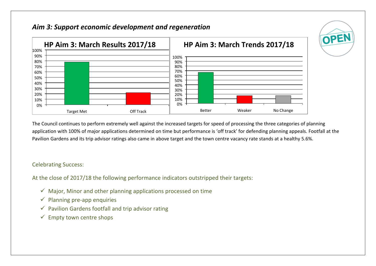## *Aim 3: Support economic development and regeneration*



The Council continues to perform extremely well against the increased targets for speed of processing the three categories of planning application with 100% of major applications determined on time but performance is 'off track' for defending planning appeals. Footfall at the Pavilion Gardens and its trip advisor ratings also came in above target and the town centre vacancy rate stands at a healthy 5.6%.

OPEN

### Celebrating Success:

At the close of 2017/18 the following performance indicators outstripped their targets:

- $\checkmark$  Major, Minor and other planning applications processed on time
- $\checkmark$  Planning pre-app enquiries
- $\checkmark$  Pavilion Gardens footfall and trip advisor rating
- $\checkmark$  Empty town centre shops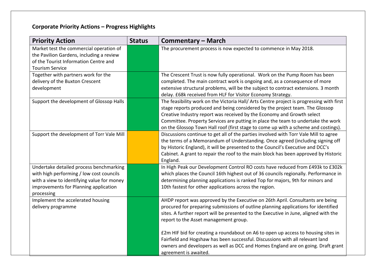# **Corporate Priority Actions – Progress Highlights**

| <b>Priority Action</b>                                                                                                                                                                   | <b>Status</b> | <b>Commentary – March</b>                                                                                                                                                                                                                                                                                                                                                                                                    |
|------------------------------------------------------------------------------------------------------------------------------------------------------------------------------------------|---------------|------------------------------------------------------------------------------------------------------------------------------------------------------------------------------------------------------------------------------------------------------------------------------------------------------------------------------------------------------------------------------------------------------------------------------|
| Market test the commercial operation of<br>the Pavilion Gardens, including a review<br>of the Tourist Information Centre and<br><b>Tourism Service</b>                                   |               | The procurement process is now expected to commence in May 2018.                                                                                                                                                                                                                                                                                                                                                             |
| Together with partners work for the<br>delivery of the Buxton Crescent<br>development                                                                                                    |               | The Crescent Trust is now fully operational. Work on the Pump Room has been<br>completed. The main contract work is ongoing and, as a consequence of more<br>extensive structural problems, will be the subject to contract extensions. 3 month<br>delay. £68k received from HLF for Visitor Economy Strategy.                                                                                                               |
| Support the development of Glossop Halls                                                                                                                                                 |               | The feasibility work on the Victoria Hall/ Arts Centre project is progressing with first<br>stage reports produced and being considered by the project team. The Glossop<br>Creative Industry report was received by the Economy and Growth select<br>Committee. Property Services are putting in place the team to undertake the work<br>on the Glossop Town Hall roof (first stage to come up with a scheme and costings). |
| Support the development of Torr Vale Mill                                                                                                                                                |               | Discussions continue to get all of the parties involved with Torr Vale Mill to agree<br>the terms of a Memorandum of Understanding. Once agreed (including signing off<br>by Historic England), it will be presented to the Council's Executive and DCC's<br>Cabinet. A grant to repair the roof to the main block has been approved by Historic<br>England.                                                                 |
| Undertake detailed process benchmarking<br>with high performing / low cost councils<br>with a view to identifying value for money<br>improvements for Planning application<br>processing |               | In High Peak our Development Control RO costs have reduced from £493k to £302k<br>which places the Council 16th highest out of 36 councils regionally. Performance in<br>determining planning applications is ranked Top for majors, 9th for minors and<br>10th fastest for other applications across the region.                                                                                                            |
| Implement the accelerated housing<br>delivery programme                                                                                                                                  |               | AHDP report was approved by the Executive on 26th April. Consultants are being<br>procured for preparing submissions of outline planning applications for identified<br>sites. A further report will be presented to the Executive in June, aligned with the<br>report to the Asset management group.                                                                                                                        |
|                                                                                                                                                                                          |               | £2m HIF bid for creating a roundabout on A6 to open up access to housing sites in<br>Fairfield and Hogshaw has been successful. Discussions with all relevant land<br>owners and developers as well as DCC and Homes England are on going. Draft grant<br>agreement is awaited.                                                                                                                                              |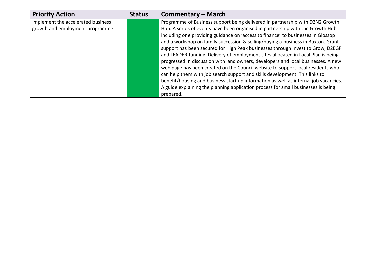| <b>Priority Action</b>             | <b>Status</b> | <b>Commentary – March</b>                                                            |
|------------------------------------|---------------|--------------------------------------------------------------------------------------|
| Implement the accelerated business |               | Programme of Business support being delivered in partnership with D2N2 Growth        |
| growth and employment programme    |               | Hub. A series of events have been organised in partnership with the Growth Hub       |
|                                    |               | including one providing guidance on 'access to finance' to businesses in Glossop     |
|                                    |               | and a workshop on family succession & selling/buying a business in Buxton. Grant     |
|                                    |               | support has been secured for High Peak businesses through Invest to Grow, D2EGF      |
|                                    |               | and LEADER funding. Delivery of employment sites allocated in Local Plan is being    |
|                                    |               | progressed in discussion with land owners, developers and local businesses. A new    |
|                                    |               | web page has been created on the Council website to support local residents who      |
|                                    |               | can help them with job search support and skills development. This links to          |
|                                    |               | benefit/housing and business start up information as well as internal job vacancies. |
|                                    |               | A guide explaining the planning application process for small businesses is being    |
|                                    |               | prepared.                                                                            |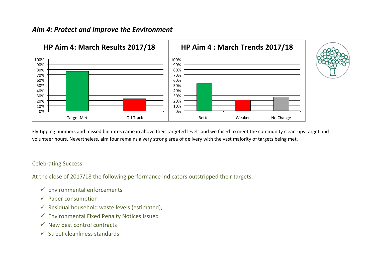# *Aim 4: Protect and Improve the Environment*



Fly-tipping numbers and missed bin rates came in above their targeted levels and we failed to meet the community clean-ups target and volunteer hours. Nevertheless, aim four remains a very strong area of delivery with the vast majority of targets being met.

#### Celebrating Success:

At the close of 2017/18 the following performance indicators outstripped their targets:

- $\checkmark$  Environmental enforcements
- $\checkmark$  Paper consumption
- $\checkmark$  Residual household waste levels (estimated),
- $\checkmark$  Environmental Fixed Penalty Notices Issued
- $\checkmark$  New pest control contracts
- $\checkmark$  Street cleanliness standards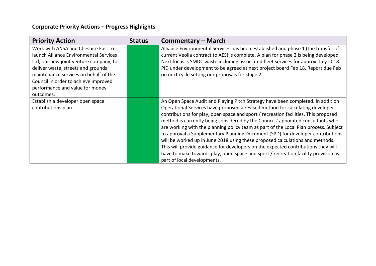# **Corporate Priority Actions – Progress Highlights**

| <b>Priority Action</b>                                                                                                                                 | <b>Status</b> | Commentary – March                                                                                                                                                                                                                                                                                                                                                                                                                                                                                                                                                                                                                                                                                                                                                                                               |
|--------------------------------------------------------------------------------------------------------------------------------------------------------|---------------|------------------------------------------------------------------------------------------------------------------------------------------------------------------------------------------------------------------------------------------------------------------------------------------------------------------------------------------------------------------------------------------------------------------------------------------------------------------------------------------------------------------------------------------------------------------------------------------------------------------------------------------------------------------------------------------------------------------------------------------------------------------------------------------------------------------|
| Work with ANSA and Cheshire East to<br>launch Alliance Environmental Services<br>Ltd, our new joint venture company, to                                |               | Alliance Environmental Services has been established and phase 1 (the transfer of<br>current Veolia contract to AES) is complete. A plan for phase 2 is being developed.<br>Next focus is SMDC waste including associated fleet services for approx. July 2018.                                                                                                                                                                                                                                                                                                                                                                                                                                                                                                                                                  |
| deliver waste, streets and grounds<br>maintenance services on behalf of the<br>Council in order to achieve improved<br>performance and value for money |               | PID under development to be agreed at next project board Feb 18. Report due Feb<br>on next cycle setting our proposals for stage 2.                                                                                                                                                                                                                                                                                                                                                                                                                                                                                                                                                                                                                                                                              |
| outcomes.                                                                                                                                              |               |                                                                                                                                                                                                                                                                                                                                                                                                                                                                                                                                                                                                                                                                                                                                                                                                                  |
| Establish a developer open space<br>contributions plan                                                                                                 |               | An Open Space Audit and Playing Pitch Strategy have been completed. In addition<br>Operational Services have proposed a revised method for calculating developer<br>contributions for play, open space and sport / recreation facilities. This proposed<br>method is currently being considered by the Councils' appointed consultants who<br>are working with the planning policy team as part of the Local Plan process. Subject<br>to approval a Supplementary Planning Document (SPD) for developer contributions<br>will be worked up in June 2018 using these proposed calculations and methods.<br>This will provide guidance for developers on the expected contributions they will<br>have to make towards play, open space and sport / recreation facility provision as<br>part of local developments. |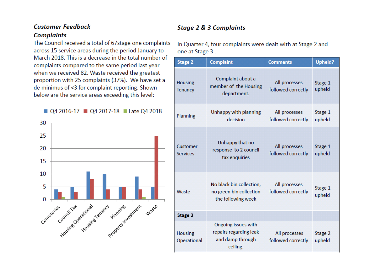# **Customer Feedback Complaints**

The Council received a total of 67stage one complaints across 15 service areas during the period January to March 2018. This is a decrease in the total number of complaints compared to the same period last year when we received 82. Waste received the greatest proportion with 25 complaints (37%). We have set a de minimus of <3 for complaint reporting. Shown below are the service areas exceeding this level:





# **Stage 2 & 3 Complaints**

In Quarter 4, four complaints were dealt with at Stage 2 and one at Stage 3.

| <b>Stage 2</b>                | <b>Complaint</b>                                                              | <b>Comments</b>                     | <b>Upheld?</b>    |
|-------------------------------|-------------------------------------------------------------------------------|-------------------------------------|-------------------|
| <b>Housing</b><br>Tenancy     | Complaint about a<br>member of the Housing<br>department.                     | All processes<br>followed correctly | Stage 1<br>upheld |
| Planning                      | Unhappy with planning<br>decision                                             | All processes<br>followed correctly | Stage 1<br>upheld |
| Customer<br><b>Services</b>   | Unhappy that no<br>response to 2 council<br>tax enquiries                     | All processes<br>followed correctly | Stage 1<br>upheld |
| Waste                         | No black bin collection,<br>no green bin collection<br>the following week     | All processes<br>followed correctly | Stage 1<br>upheld |
| Stage 3                       |                                                                               |                                     |                   |
| <b>Housing</b><br>Operational | Ongoing issues with<br>repairs regarding leak<br>and damp through<br>ceiling. | All processes<br>followed correctly | Stage 2<br>upheld |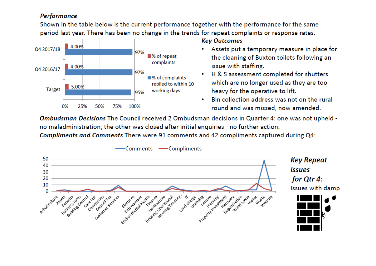### Performance

Shown in the table below is the current performance together with the performance for the same period last year. There has been no change in the trends for repeat complaints or response rates.



#### **Key Outcomes**

- . Assets put a temporary measure in place for the cleaning of Buxton toilets following an issue with staffing.
- H & S assessment completed for shutters which are no longer used as they are too heavy for the operative to lift.
- . Bin collection address was not on the rural round and was missed, now amended.

Ombudsman Decisions The Council received 2 Ombudsman decisions in Quarter 4: one was not upheld no maladministration; the other was closed after initial enquiries - no further action.

Compliments and Comments There were 91 comments and 42 compliments captured during Q4:

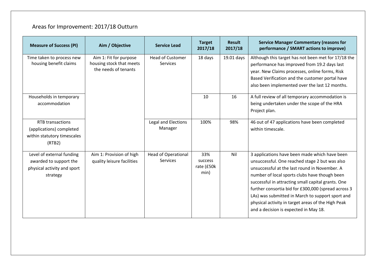# Areas for Improvement: 2017/18 Outturn

| <b>Measure of Success (PI)</b>                                                                 | Aim / Objective                                                            | <b>Service Lead</b>                           | <b>Target</b><br>2017/18             | <b>Result</b><br>2017/18 | <b>Service Manager Commentary (reasons for</b><br>performance / SMART actions to improve)                                                                                                                                                                                                                                                                                                                                                                         |
|------------------------------------------------------------------------------------------------|----------------------------------------------------------------------------|-----------------------------------------------|--------------------------------------|--------------------------|-------------------------------------------------------------------------------------------------------------------------------------------------------------------------------------------------------------------------------------------------------------------------------------------------------------------------------------------------------------------------------------------------------------------------------------------------------------------|
| Time taken to process new<br>housing benefit claims                                            | Aim 1: Fit for purpose<br>housing stock that meets<br>the needs of tenants | <b>Head of Customer</b><br><b>Services</b>    | 18 days                              | 19.01 days               | Although this target has not been met for 17/18 the<br>performance has improved from 19.2 days last<br>year. New Claims processes, online forms, Risk<br>Based Verification and the customer portal have<br>also been implemented over the last 12 months.                                                                                                                                                                                                        |
| Households in temporary<br>accommodation                                                       |                                                                            |                                               | 10                                   | 16                       | A full review of all temporary accommodation is<br>being undertaken under the scope of the HRA<br>Project plan.                                                                                                                                                                                                                                                                                                                                                   |
| <b>RTB</b> transactions<br>(applications) completed<br>within statutory timescales<br>(RTB2)   |                                                                            | Legal and Elections<br>Manager                | 100%                                 | 98%                      | 46 out of 47 applications have been completed<br>within timescale.                                                                                                                                                                                                                                                                                                                                                                                                |
| Level of external funding<br>awarded to support the<br>physical activity and sport<br>strategy | Aim 1: Provision of high<br>quality leisure facilities                     | <b>Head of Operational</b><br><b>Services</b> | 33%<br>success<br>rate (£50k<br>min) | Nil                      | 3 applications have been made which have been<br>unsuccessful. One reached stage 2 but was also<br>unsuccessful at the last round in November. A<br>number of local sports clubs have though been<br>successful in attracting small capital grants. One<br>further consortia bid for £300,000 (spread across 3<br>LAs) was submitted in March to support sport and<br>physical activity in target areas of the High Peak<br>and a decision is expected in May 18. |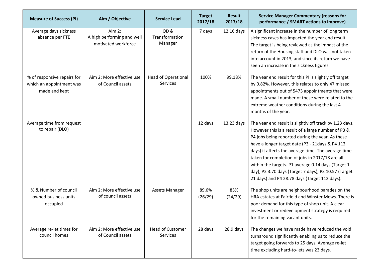| <b>Measure of Success (PI)</b>                                           | Aim / Objective                                             | <b>Service Lead</b>                    | <b>Target</b><br>2017/18 | <b>Result</b><br>2017/18 | <b>Service Manager Commentary (reasons for</b><br>performance / SMART actions to improve)                                                                                                                                                                                                                                                                                                                                                                                                     |
|--------------------------------------------------------------------------|-------------------------------------------------------------|----------------------------------------|--------------------------|--------------------------|-----------------------------------------------------------------------------------------------------------------------------------------------------------------------------------------------------------------------------------------------------------------------------------------------------------------------------------------------------------------------------------------------------------------------------------------------------------------------------------------------|
| Average days sickness<br>absence per FTE                                 | Aim 2:<br>A high performing and well<br>motivated workforce | OD&<br>Transformation<br>Manager       | 7 days                   | 12.16 days               | A significant increase in the number of long term<br>sickness cases has impacted the year end result.<br>The target is being reviewed as the impact of the<br>return of the Housing staff and DLO was not taken<br>into account in 2013, and since its return we have<br>seen an increase in the sickness figures.                                                                                                                                                                            |
| % of responsive repairs for<br>which an appointment was<br>made and kept | Aim 2: More effective use<br>of Council assets              | <b>Head of Operational</b><br>Services | 100%                     | 99.18%                   | The year end result for this PI is slightly off target<br>by 0.82%. However, this relates to only 47 missed<br>appointments out of 5473 appointments that were<br>made. A small number of these were related to the<br>extreme weather conditions during the last 4<br>months of the year.                                                                                                                                                                                                    |
| Average time from request<br>to repair (DLO)                             |                                                             |                                        | 12 days                  | 13.23 days               | The year end result is slightly off track by 1.23 days.<br>However this is a result of a large number of P3 &<br>P4 jobs being reported during the year. As these<br>have a longer target date (P3 - 21days & P4 112<br>days) it affects the average time. The average time<br>taken for completion of jobs in 2017/18 are all<br>within the targets. P1 average 0.14 days (Target 1<br>day), P2 3.70 days (Target 7 days), P3 10.57 (Target<br>21 days) and P4 28.78 days (Target 112 days). |
| % & Number of council<br>owned business units<br>occupied                | Aim 2: More effective use<br>of council assets              | Assets Manager                         | 89.6%<br>(26/29)         | 83%<br>(24/29)           | The shop units are neighbourhood parades on the<br>HRA estates at Fairfield and Winster Mews. There is<br>poor demand for this type of shop unit. A clear<br>investment or redevelopment strategy is required<br>for the remaining vacant units.                                                                                                                                                                                                                                              |
| Average re-let times for<br>council homes                                | Aim 2: More effective use<br>of Council assets              | <b>Head of Customer</b><br>Services    | 28 days                  | 28.9 days                | The changes we have made have reduced the void<br>turnaround significantly enabling us to reduce the<br>target going forwards to 25 days. Average re-let<br>time excluding hard-to-lets was 23 days.                                                                                                                                                                                                                                                                                          |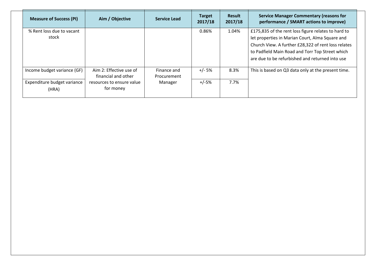| <b>Measure of Success (PI)</b> | Aim / Objective                                | <b>Service Lead</b>        | <b>Target</b><br>2017/18 | <b>Result</b><br>2017/18 | <b>Service Manager Commentary (reasons for</b><br>performance / SMART actions to improve) |
|--------------------------------|------------------------------------------------|----------------------------|--------------------------|--------------------------|-------------------------------------------------------------------------------------------|
| % Rent loss due to vacant      |                                                |                            | 0.86%                    | 1.04%                    | £175,835 of the rent loss figure relates to hard to                                       |
| stock                          |                                                |                            |                          |                          | let properties in Marian Court, Alma Square and                                           |
|                                |                                                |                            |                          |                          | Church View. A further £28,322 of rent loss relates                                       |
|                                |                                                |                            |                          |                          | to Padfield Main Road and Torr Top Street which                                           |
|                                |                                                |                            |                          |                          | are due to be refurbished and returned into use                                           |
| Income budget variance (GF)    | Aim 2: Effective use of<br>financial and other | Finance and<br>Procurement | +/- 5%                   | 8.3%                     | This is based on Q3 data only at the present time.                                        |
| Expenditure budget variance    | resources to ensure value                      | Manager                    | $+/-5%$                  | 7.7%                     |                                                                                           |
| (HRA)                          | for money                                      |                            |                          |                          |                                                                                           |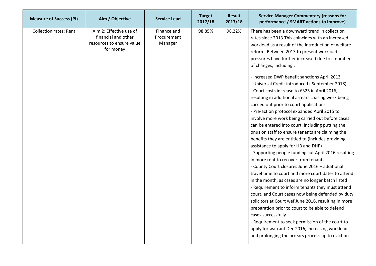| <b>Measure of Success (PI)</b> | Aim / Objective                                                                          | <b>Service Lead</b>                   | <b>Target</b><br>2017/18 | <b>Result</b><br>2017/18 | <b>Service Manager Commentary (reasons for</b><br>performance / SMART actions to improve)                                                                                                                                                                                                                                                                                                                                                                                                                                                                                                                                                                                                                                                                                                                                                                                                                                                                                                                                                                                                                                                                                                                                                                                                                                                                                                                                                                                                                              |
|--------------------------------|------------------------------------------------------------------------------------------|---------------------------------------|--------------------------|--------------------------|------------------------------------------------------------------------------------------------------------------------------------------------------------------------------------------------------------------------------------------------------------------------------------------------------------------------------------------------------------------------------------------------------------------------------------------------------------------------------------------------------------------------------------------------------------------------------------------------------------------------------------------------------------------------------------------------------------------------------------------------------------------------------------------------------------------------------------------------------------------------------------------------------------------------------------------------------------------------------------------------------------------------------------------------------------------------------------------------------------------------------------------------------------------------------------------------------------------------------------------------------------------------------------------------------------------------------------------------------------------------------------------------------------------------------------------------------------------------------------------------------------------------|
| <b>Collection rates: Rent</b>  | Aim 2: Effective use of<br>financial and other<br>resources to ensure value<br>for money | Finance and<br>Procurement<br>Manager | 98.85%                   | 98.22%                   | There has been a downward trend in collection<br>rates since 2013. This coincides with an increased<br>workload as a result of the introduction of welfare<br>reform. Between 2013 to present workload<br>pressures have further increased due to a number<br>of changes, including:<br>- Increased DWP benefit sanctions April 2013<br>- Universal Credit introduced (September 2018)<br>- Court costs increase to £325 in April 2016,<br>resulting in additional arrears chasing work being<br>carried out prior to court applications<br>- Pre-action protocol expanded April 2015 to<br>involve more work being carried out before cases<br>can be entered into court, including putting the<br>onus on staff to ensure tenants are claiming the<br>benefits they are entitled to (includes providing<br>assistance to apply for HB and DHP)<br>- Supporting people funding cut April 2016 resulting<br>in more rent to recover from tenants<br>- County Court closures June 2016 - additional<br>travel time to court and more court dates to attend<br>in the month, as cases are no longer batch listed<br>- Requirement to inform tenants they must attend<br>court, and Court cases now being defended by duty<br>solicitors at Court wef June 2016, resulting in more<br>preparation prior to court to be able to defend<br>cases successfully.<br>- Requirement to seek permission of the court to<br>apply for warrant Dec 2016, increasing workload<br>and prolonging the arrears process up to eviction. |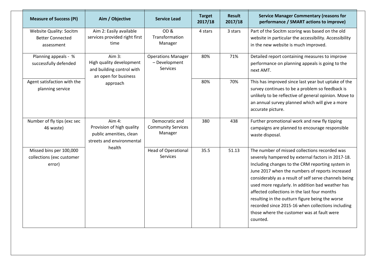| <b>Measure of Success (PI)</b>                                          | Aim / Objective                                                                                | Service Lead                                           | <b>Target</b><br>2017/18 | <b>Result</b><br>2017/18 | <b>Service Manager Commentary (reasons for</b><br>performance / SMART actions to improve)                                                                                                                                                                                                                                                                                                                                                                                                                                                |
|-------------------------------------------------------------------------|------------------------------------------------------------------------------------------------|--------------------------------------------------------|--------------------------|--------------------------|------------------------------------------------------------------------------------------------------------------------------------------------------------------------------------------------------------------------------------------------------------------------------------------------------------------------------------------------------------------------------------------------------------------------------------------------------------------------------------------------------------------------------------------|
| <b>Website Quality: Socitm</b><br><b>Better Connected</b><br>assessment | Aim 2: Easily available<br>services provided right first<br>time                               | OD&<br>Transformation<br>Manager                       | 4 stars                  | 3 stars                  | Part of the Socitm scoring was based on the old<br>website in particular the accessibility. Accessibility<br>in the new website is much improved.                                                                                                                                                                                                                                                                                                                                                                                        |
| Planning appeals - %<br>successfully defended                           | Aim $3:$<br>High quality development<br>and building control with<br>an open for business      | <b>Operations Manager</b><br>- Development<br>Services | 80%                      | 71%                      | Detailed report containing measures to improve<br>performance on planning appeals is going to the<br>next AMT.                                                                                                                                                                                                                                                                                                                                                                                                                           |
| Agent satisfaction with the<br>planning service                         | approach                                                                                       |                                                        | 80%                      | 70%                      | This has improved since last year but uptake of the<br>survey continues to be a problem so feedback is<br>unlikely to be reflective of general opinion. Move to<br>an annual survey planned which will give a more<br>accurate picture.                                                                                                                                                                                                                                                                                                  |
| Number of fly tips (exc sec<br>46 waste)                                | Aim $4$ :<br>Provision of high quality<br>public amenities, clean<br>streets and environmental | Democratic and<br><b>Community Services</b><br>Manager | 380                      | 438                      | Further promotional work and new fly tipping<br>campaigns are planned to encourage responsible<br>waste disposal.                                                                                                                                                                                                                                                                                                                                                                                                                        |
| Missed bins per 100,000<br>collections (exc customer<br>error)          | health                                                                                         | <b>Head of Operational</b><br>Services                 | 35.5                     | 51.13                    | The number of missed collections recorded was<br>severely hampered by external factors in 2017-18.<br>Including changes to the CRM reporting system in<br>June 2017 when the numbers of reports increased<br>considerably as a result of self serve channels being<br>used more regularly. In addition bad weather has<br>affected collections in the last four months<br>resulting in the outturn figure being the worse<br>recorded since 2015-16 when collections including<br>those where the customer was at fault were<br>counted. |